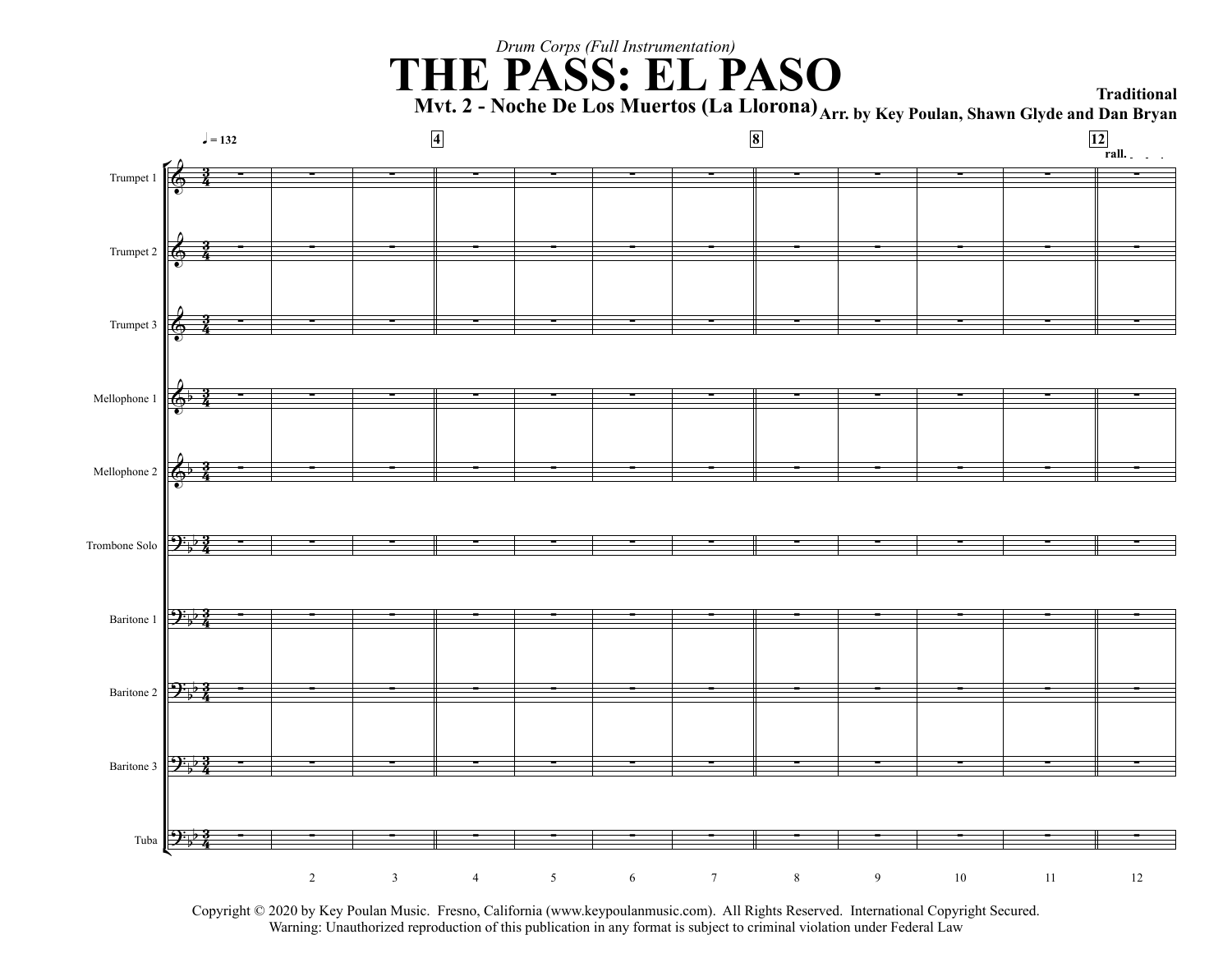# *Drum Corps (Full Instrumentation)* **THE PASS: EL PASO Traditional**

**Mvt. 2 - Noche De Los Muertos (La Llorona) Arr. by Key Poulan, Shawn Glyde and Dan Bryan**



Copyright © 2020 by Key Poulan Music. Fresno, California (www.keypoulanmusic.com). All Rights Reserved. International Copyright Secured.<br>Warning: Unauthorized reproduction of this publication in any format is subject to er Unauthorized reproduction of this publication in any format is subject to criminal violation under Federal Law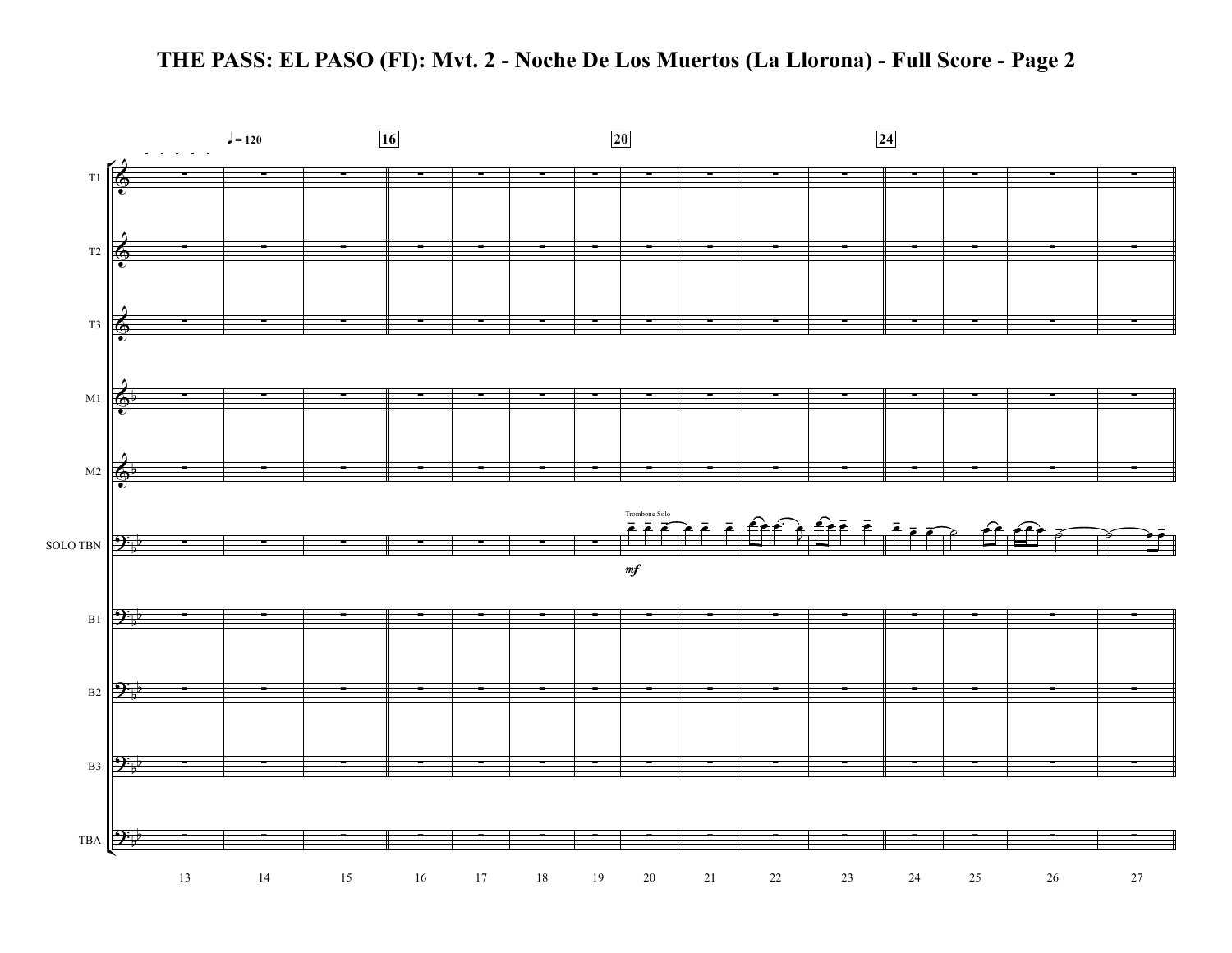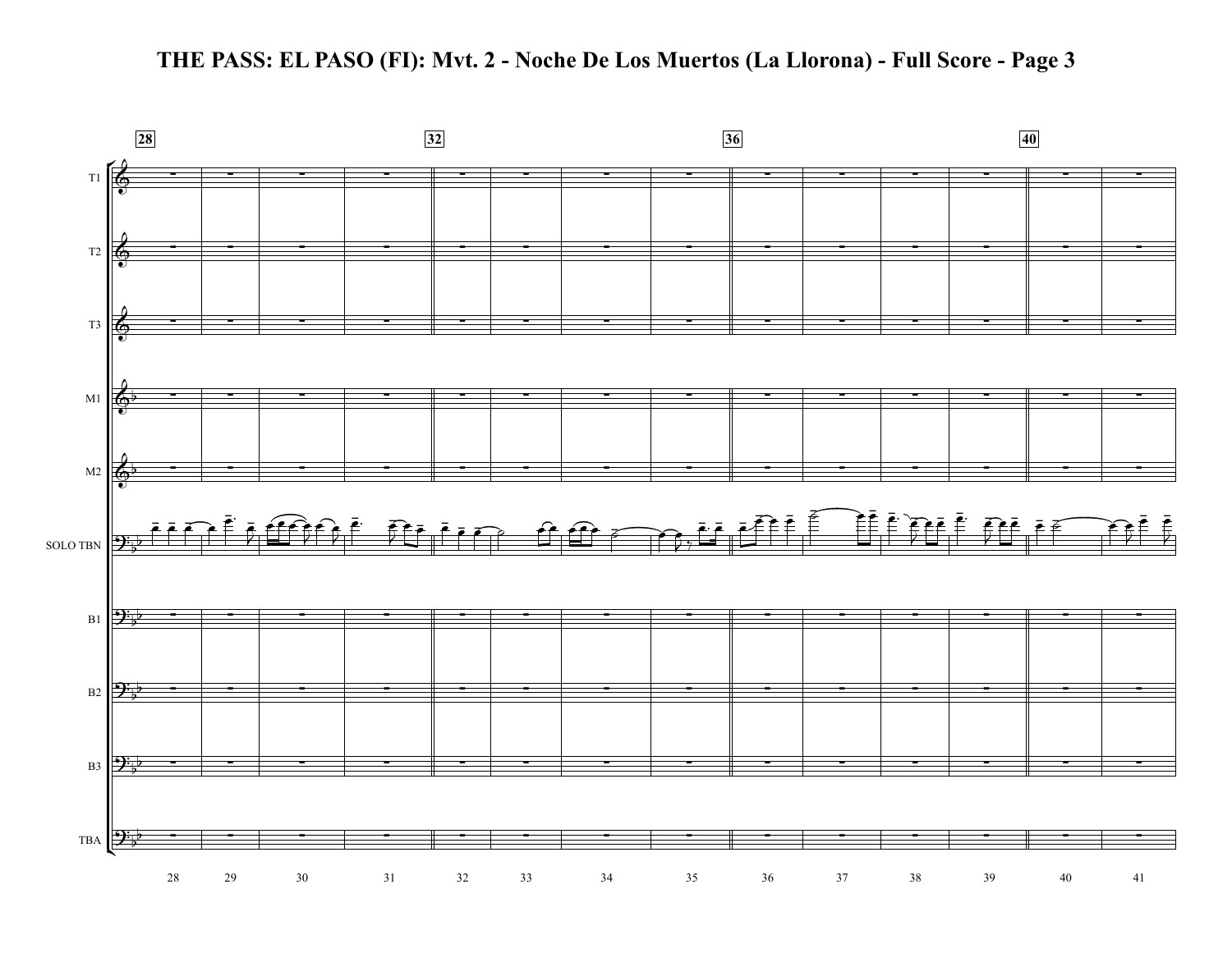

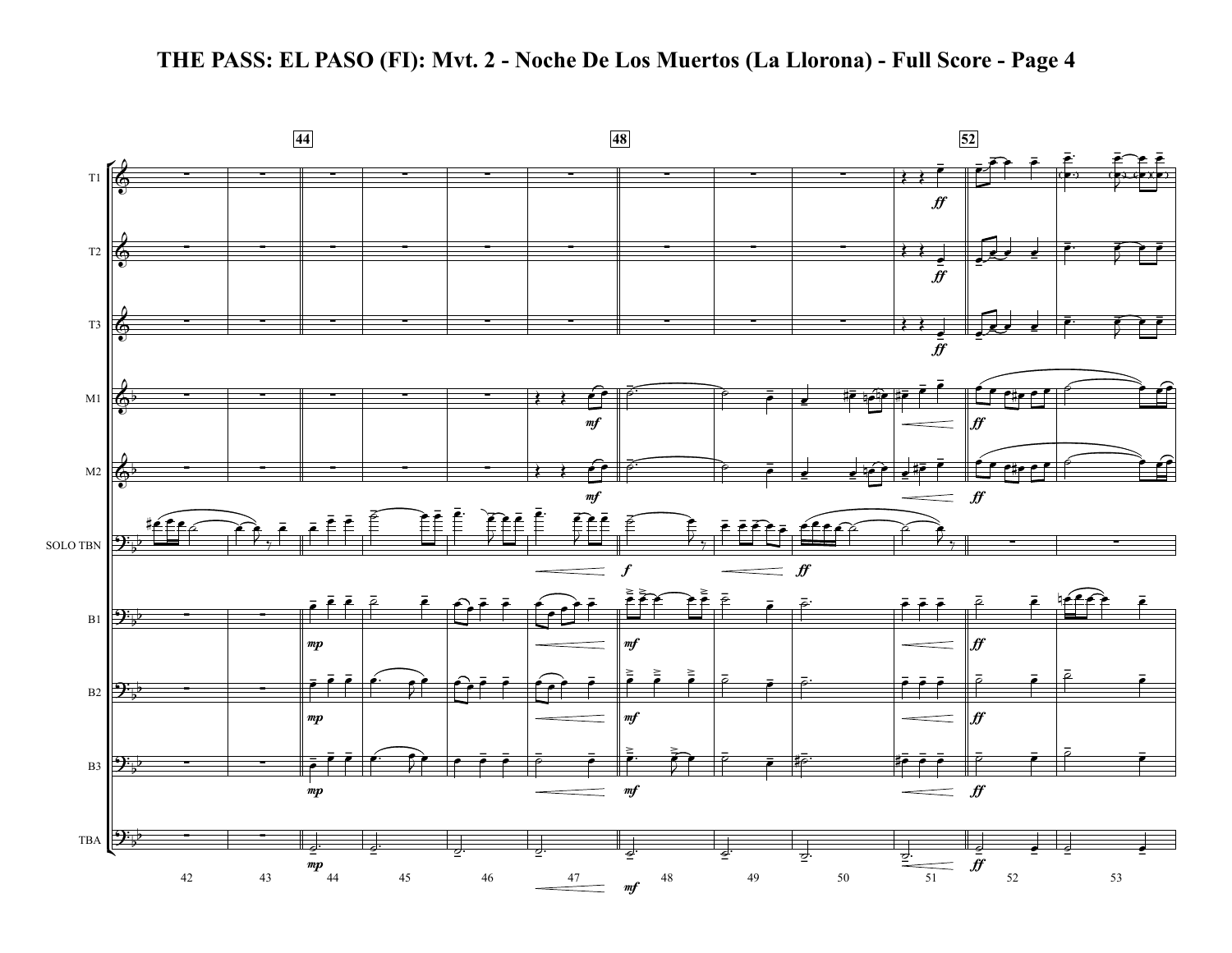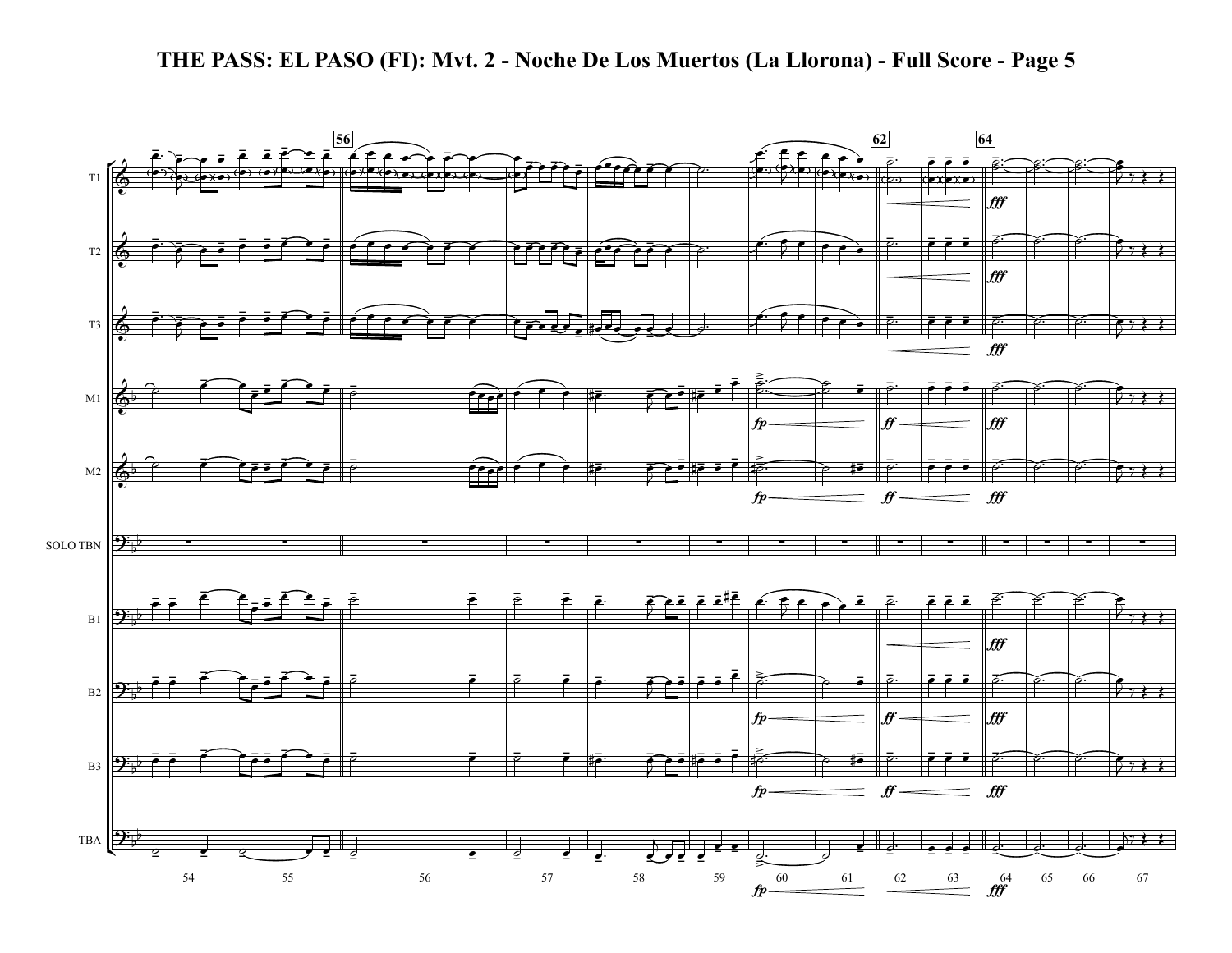

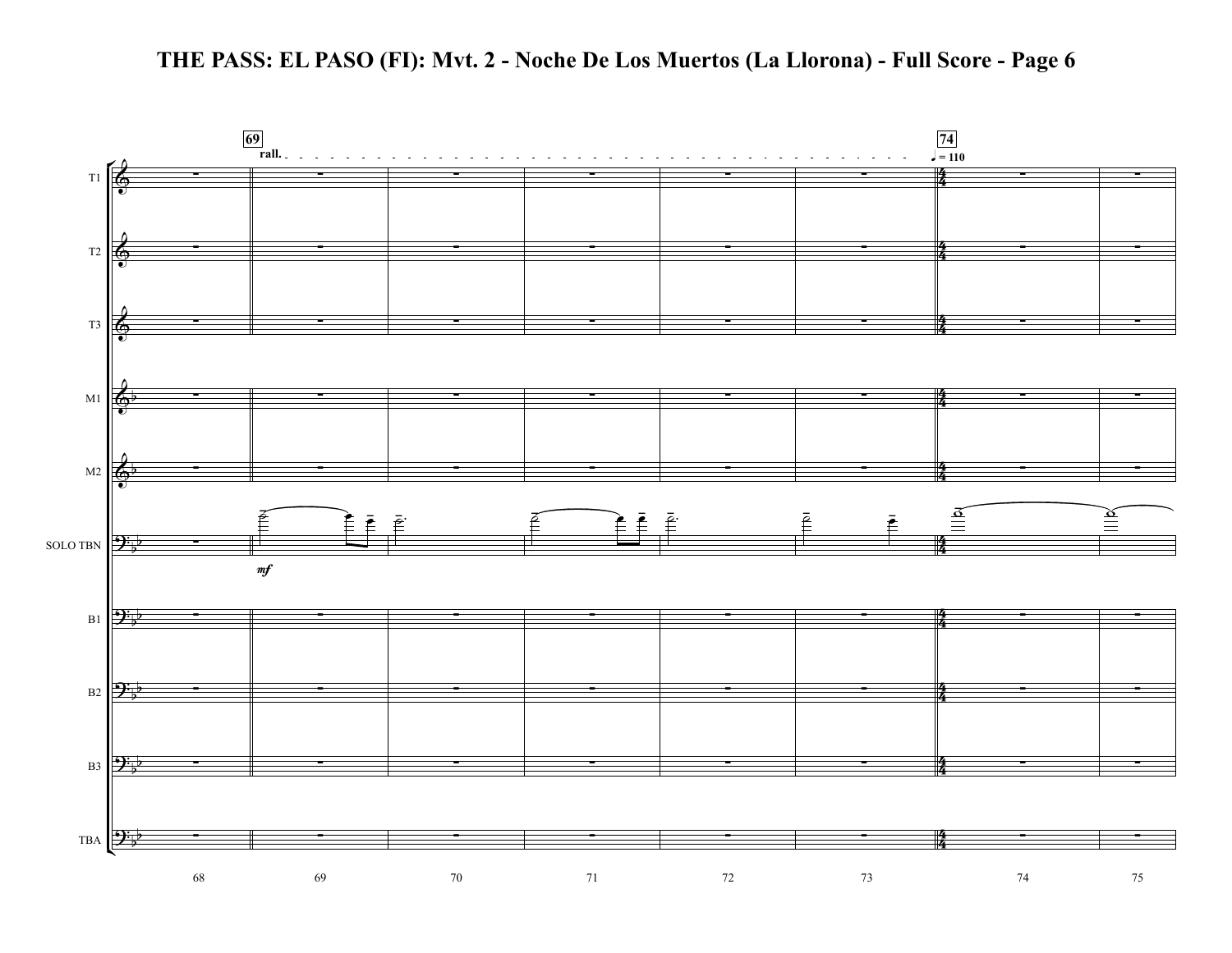